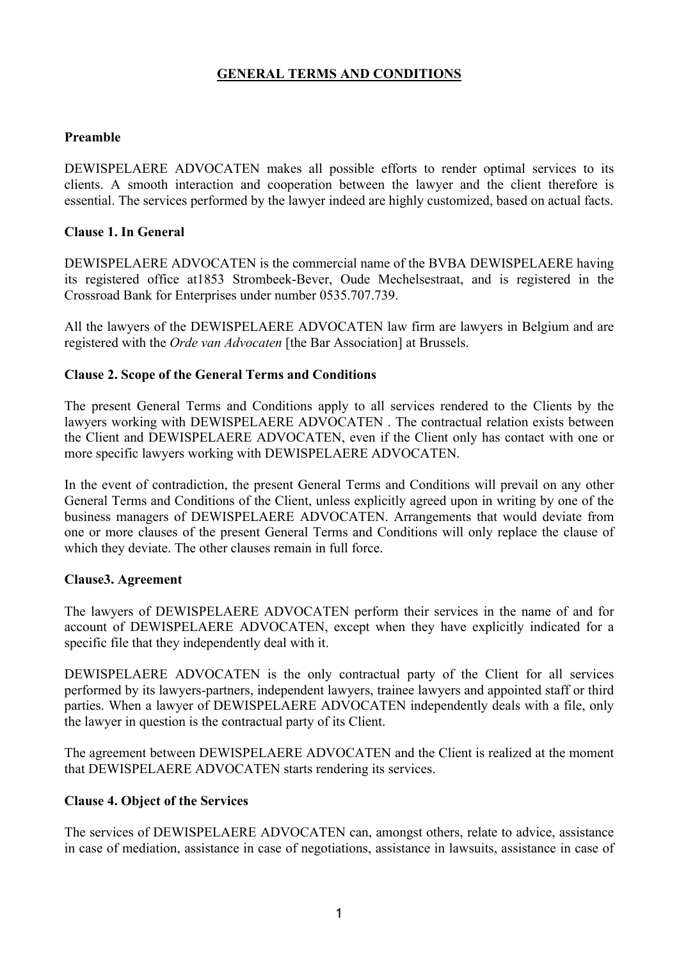# **GENERAL TERMS AND CONDITIONS**

### **Preamble**

DEWISPELAERE ADVOCATEN makes all possible efforts to render optimal services to its clients. A smooth interaction and cooperation between the lawyer and the client therefore is essential. The services performed by the lawyer indeed are highly customized, based on actual facts.

### **Clause 1. In General**

DEWISPELAERE ADVOCATEN is the commercial name of the BVBA DEWISPELAERE having its registered office at1853 Strombeek-Bever, Oude Mechelsestraat, and is registered in the Crossroad Bank for Enterprises under number 0535.707.739.

All the lawyers of the DEWISPELAERE ADVOCATEN law firm are lawyers in Belgium and are registered with the *Orde van Advocaten* [the Bar Association] at Brussels.

### **Clause 2. Scope of the General Terms and Conditions**

The present General Terms and Conditions apply to all services rendered to the Clients by the lawyers working with DEWISPELAERE ADVOCATEN . The contractual relation exists between the Client and DEWISPELAERE ADVOCATEN, even if the Client only has contact with one or more specific lawyers working with DEWISPELAERE ADVOCATEN.

In the event of contradiction, the present General Terms and Conditions will prevail on any other General Terms and Conditions of the Client, unless explicitly agreed upon in writing by one of the business managers of DEWISPELAERE ADVOCATEN. Arrangements that would deviate from one or more clauses of the present General Terms and Conditions will only replace the clause of which they deviate. The other clauses remain in full force.

#### **Clause3. Agreement**

The lawyers of DEWISPELAERE ADVOCATEN perform their services in the name of and for account of DEWISPELAERE ADVOCATEN, except when they have explicitly indicated for a specific file that they independently deal with it.

DEWISPELAERE ADVOCATEN is the only contractual party of the Client for all services performed by its lawyers-partners, independent lawyers, trainee lawyers and appointed staff or third parties. When a lawyer of DEWISPELAERE ADVOCATEN independently deals with a file, only the lawyer in question is the contractual party of its Client.

The agreement between DEWISPELAERE ADVOCATEN and the Client is realized at the moment that DEWISPELAERE ADVOCATEN starts rendering its services.

#### **Clause 4. Object of the Services**

The services of DEWISPELAERE ADVOCATEN can, amongst others, relate to advice, assistance in case of mediation, assistance in case of negotiations, assistance in lawsuits, assistance in case of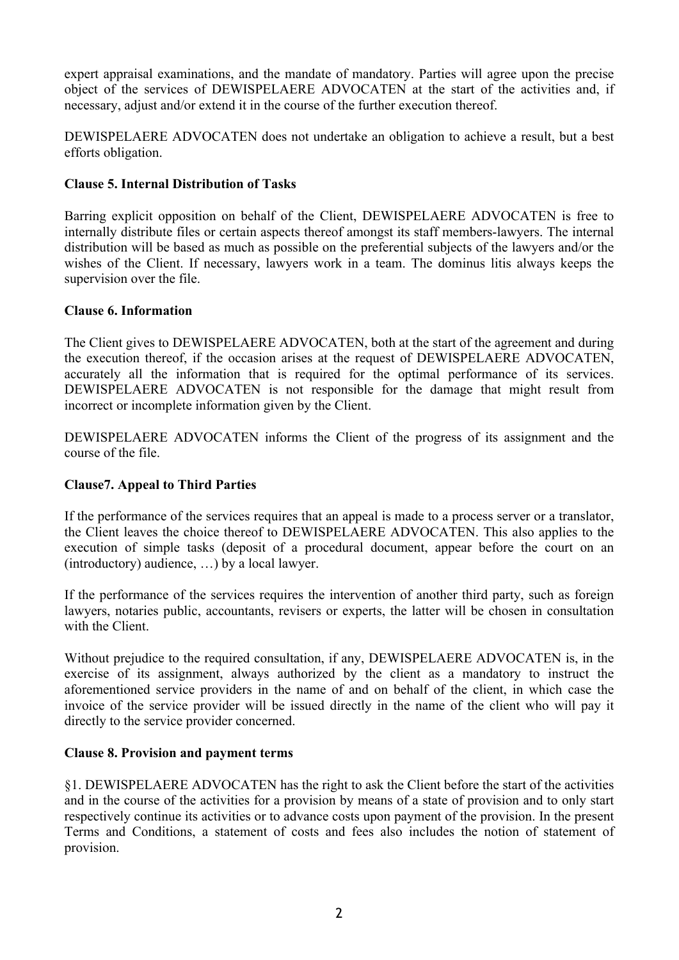expert appraisal examinations, and the mandate of mandatory. Parties will agree upon the precise object of the services of DEWISPELAERE ADVOCATEN at the start of the activities and, if necessary, adjust and/or extend it in the course of the further execution thereof.

DEWISPELAERE ADVOCATEN does not undertake an obligation to achieve a result, but a best efforts obligation.

# **Clause 5. Internal Distribution of Tasks**

Barring explicit opposition on behalf of the Client, DEWISPELAERE ADVOCATEN is free to internally distribute files or certain aspects thereof amongst its staff members-lawyers. The internal distribution will be based as much as possible on the preferential subjects of the lawyers and/or the wishes of the Client. If necessary, lawyers work in a team. The dominus litis always keeps the supervision over the file.

#### **Clause 6. Information**

The Client gives to DEWISPELAERE ADVOCATEN, both at the start of the agreement and during the execution thereof, if the occasion arises at the request of DEWISPELAERE ADVOCATEN, accurately all the information that is required for the optimal performance of its services. DEWISPELAERE ADVOCATEN is not responsible for the damage that might result from incorrect or incomplete information given by the Client.

DEWISPELAERE ADVOCATEN informs the Client of the progress of its assignment and the course of the file.

### **Clause7. Appeal to Third Parties**

If the performance of the services requires that an appeal is made to a process server or a translator, the Client leaves the choice thereof to DEWISPELAERE ADVOCATEN. This also applies to the execution of simple tasks (deposit of a procedural document, appear before the court on an (introductory) audience, …) by a local lawyer.

If the performance of the services requires the intervention of another third party, such as foreign lawyers, notaries public, accountants, revisers or experts, the latter will be chosen in consultation with the Client.

Without prejudice to the required consultation, if any, DEWISPELAERE ADVOCATEN is, in the exercise of its assignment, always authorized by the client as a mandatory to instruct the aforementioned service providers in the name of and on behalf of the client, in which case the invoice of the service provider will be issued directly in the name of the client who will pay it directly to the service provider concerned.

#### **Clause 8. Provision and payment terms**

§1. DEWISPELAERE ADVOCATEN has the right to ask the Client before the start of the activities and in the course of the activities for a provision by means of a state of provision and to only start respectively continue its activities or to advance costs upon payment of the provision. In the present Terms and Conditions, a statement of costs and fees also includes the notion of statement of provision.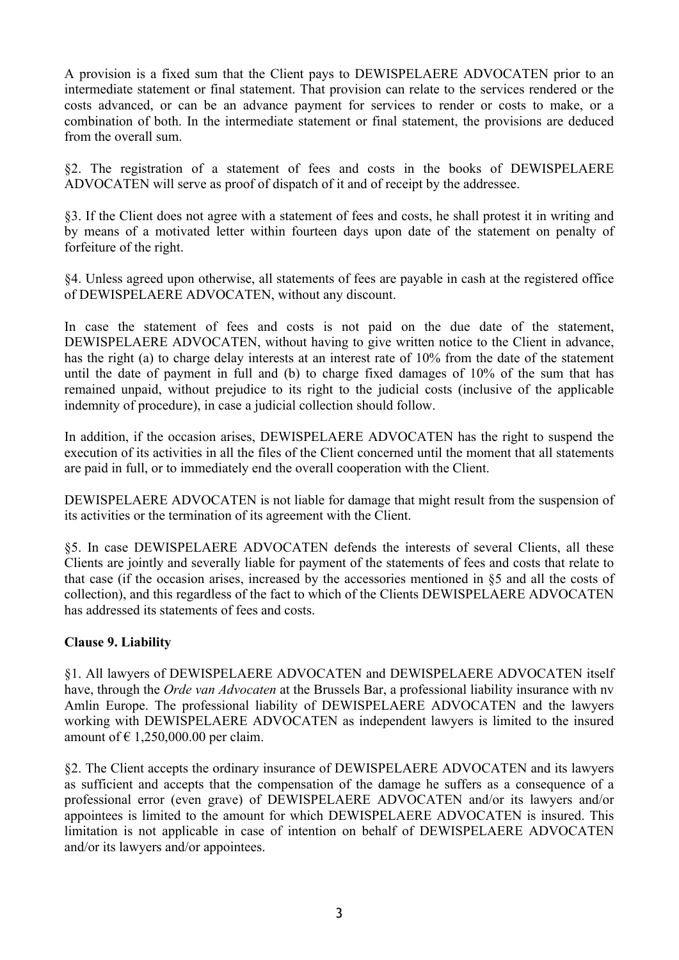A provision is a fixed sum that the Client pays to DEWISPELAERE ADVOCATEN prior to an intermediate statement or final statement. That provision can relate to the services rendered or the costs advanced, or can be an advance payment for services to render or costs to make, or a combination of both. In the intermediate statement or final statement, the provisions are deduced from the overall sum.

§2. The registration of a statement of fees and costs in the books of DEWISPELAERE ADVOCATEN will serve as proof of dispatch of it and of receipt by the addressee.

§3. If the Client does not agree with a statement of fees and costs, he shall protest it in writing and by means of a motivated letter within fourteen days upon date of the statement on penalty of forfeiture of the right.

§4. Unless agreed upon otherwise, all statements of fees are payable in cash at the registered office of DEWISPELAERE ADVOCATEN, without any discount.

In case the statement of fees and costs is not paid on the due date of the statement, DEWISPELAERE ADVOCATEN, without having to give written notice to the Client in advance, has the right (a) to charge delay interests at an interest rate of 10% from the date of the statement until the date of payment in full and (b) to charge fixed damages of 10% of the sum that has remained unpaid, without prejudice to its right to the judicial costs (inclusive of the applicable indemnity of procedure), in case a judicial collection should follow.

In addition, if the occasion arises, DEWISPELAERE ADVOCATEN has the right to suspend the execution of its activities in all the files of the Client concerned until the moment that all statements are paid in full, or to immediately end the overall cooperation with the Client.

DEWISPELAERE ADVOCATEN is not liable for damage that might result from the suspension of its activities or the termination of its agreement with the Client.

§5. In case DEWISPELAERE ADVOCATEN defends the interests of several Clients, all these Clients are jointly and severally liable for payment of the statements of fees and costs that relate to that case (if the occasion arises, increased by the accessories mentioned in §5 and all the costs of collection), and this regardless of the fact to which of the Clients DEWISPELAERE ADVOCATEN has addressed its statements of fees and costs.

# **Clause 9. Liability**

§1. All lawyers of DEWISPELAERE ADVOCATEN and DEWISPELAERE ADVOCATEN itself have, through the *Orde van Advocaten* at the Brussels Bar, a professional liability insurance with nv Amlin Europe. The professional liability of DEWISPELAERE ADVOCATEN and the lawyers working with DEWISPELAERE ADVOCATEN as independent lawyers is limited to the insured amount of  $\epsilon$  1,250,000.00 per claim.

§2. The Client accepts the ordinary insurance of DEWISPELAERE ADVOCATEN and its lawyers as sufficient and accepts that the compensation of the damage he suffers as a consequence of a professional error (even grave) of DEWISPELAERE ADVOCATEN and/or its lawyers and/or appointees is limited to the amount for which DEWISPELAERE ADVOCATEN is insured. This limitation is not applicable in case of intention on behalf of DEWISPELAERE ADVOCATEN and/or its lawyers and/or appointees.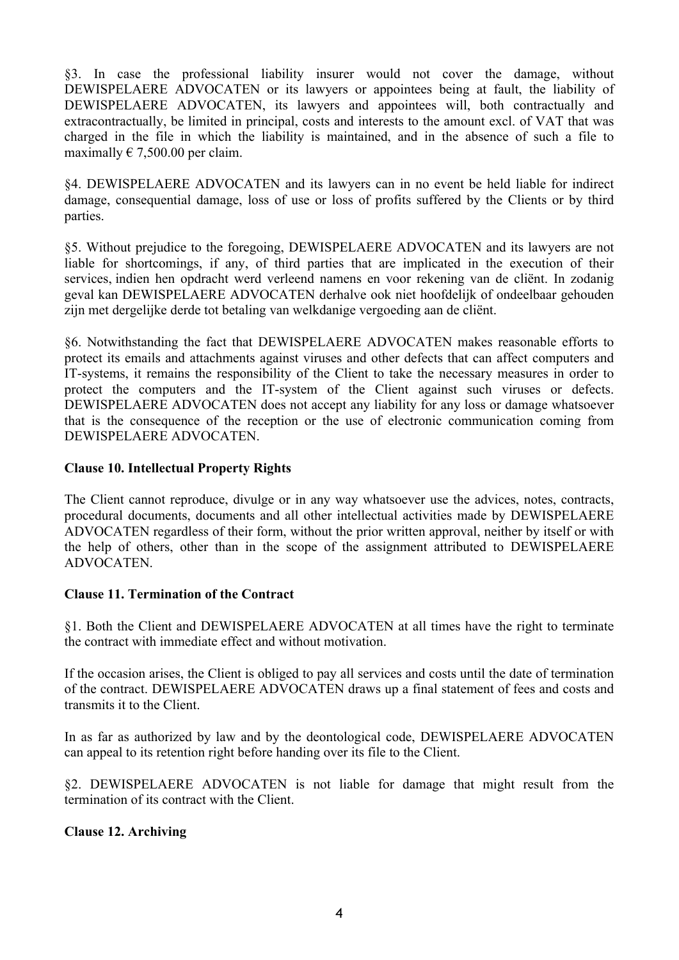§3. In case the professional liability insurer would not cover the damage, without DEWISPELAERE ADVOCATEN or its lawyers or appointees being at fault, the liability of DEWISPELAERE ADVOCATEN, its lawyers and appointees will, both contractually and extracontractually, be limited in principal, costs and interests to the amount excl. of VAT that was charged in the file in which the liability is maintained, and in the absence of such a file to maximally  $\in 7,500.00$  per claim.

§4. DEWISPELAERE ADVOCATEN and its lawyers can in no event be held liable for indirect damage, consequential damage, loss of use or loss of profits suffered by the Clients or by third parties.

§5. Without prejudice to the foregoing, DEWISPELAERE ADVOCATEN and its lawyers are not liable for shortcomings, if any, of third parties that are implicated in the execution of their services, indien hen opdracht werd verleend namens en voor rekening van de cliënt. In zodanig geval kan DEWISPELAERE ADVOCATEN derhalve ook niet hoofdelijk of ondeelbaar gehouden zijn met dergelijke derde tot betaling van welkdanige vergoeding aan de cliënt.

§6. Notwithstanding the fact that DEWISPELAERE ADVOCATEN makes reasonable efforts to protect its emails and attachments against viruses and other defects that can affect computers and IT-systems, it remains the responsibility of the Client to take the necessary measures in order to protect the computers and the IT-system of the Client against such viruses or defects. DEWISPELAERE ADVOCATEN does not accept any liability for any loss or damage whatsoever that is the consequence of the reception or the use of electronic communication coming from DEWISPELAERE ADVOCATEN.

# **Clause 10. Intellectual Property Rights**

The Client cannot reproduce, divulge or in any way whatsoever use the advices, notes, contracts, procedural documents, documents and all other intellectual activities made by DEWISPELAERE ADVOCATEN regardless of their form, without the prior written approval, neither by itself or with the help of others, other than in the scope of the assignment attributed to DEWISPELAERE ADVOCATEN.

# **Clause 11. Termination of the Contract**

§1. Both the Client and DEWISPELAERE ADVOCATEN at all times have the right to terminate the contract with immediate effect and without motivation.

If the occasion arises, the Client is obliged to pay all services and costs until the date of termination of the contract. DEWISPELAERE ADVOCATEN draws up a final statement of fees and costs and transmits it to the Client.

In as far as authorized by law and by the deontological code, DEWISPELAERE ADVOCATEN can appeal to its retention right before handing over its file to the Client.

§2. DEWISPELAERE ADVOCATEN is not liable for damage that might result from the termination of its contract with the Client.

# **Clause 12. Archiving**